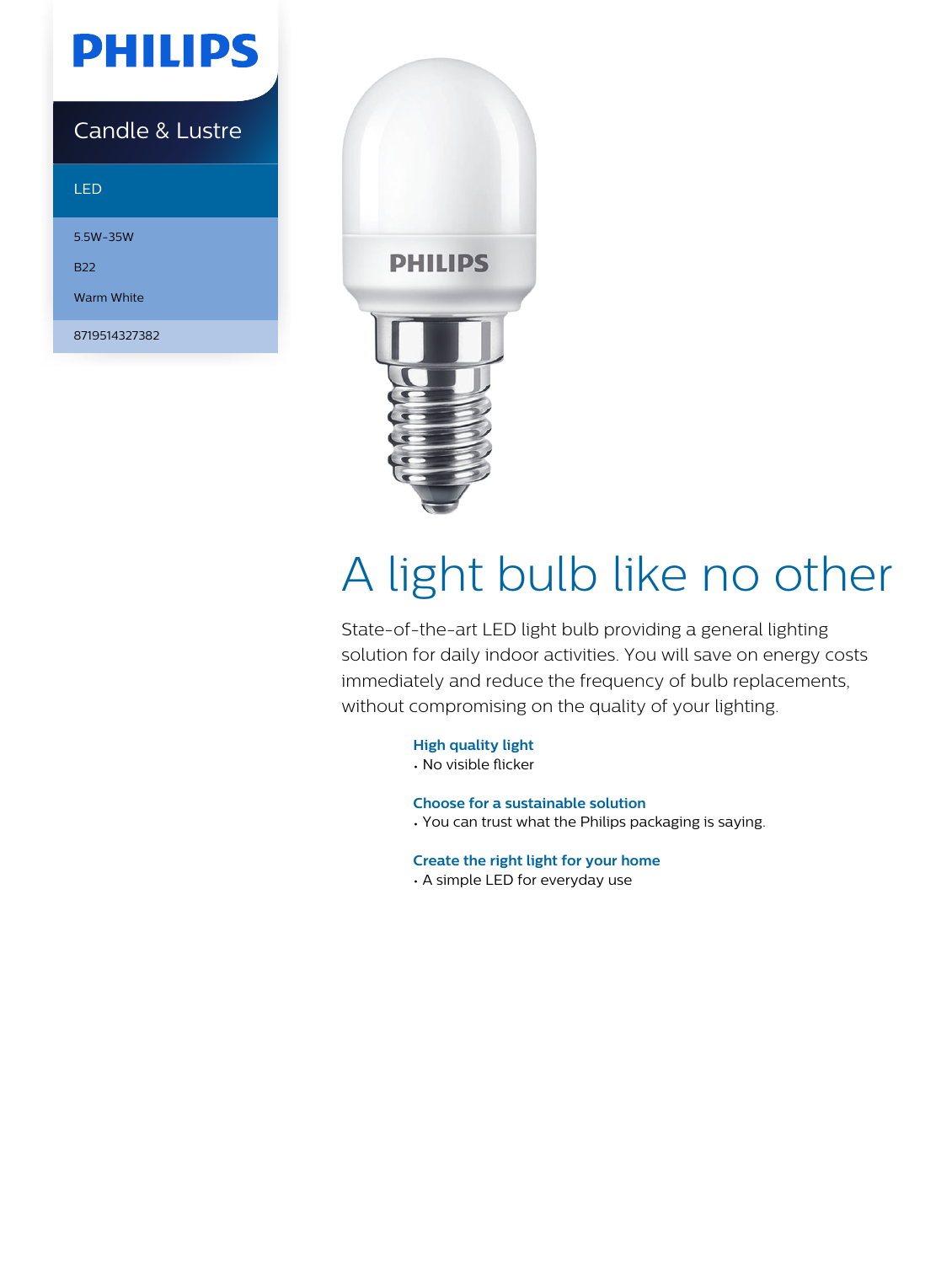## **PHILIPS**

### Candle & Lustre

#### LED

5.5W-35W

B22

Warm White

8719514327382



# A light bulb like no other

State-of-the-art LED light bulb providing a general lighting solution for daily indoor activities. You will save on energy costs immediately and reduce the frequency of bulb replacements, without compromising on the quality of your lighting.

#### **High quality light**

• No visible flicker

#### **Choose for a sustainable solution**

• You can trust what the Philips packaging is saying.

#### **Create the right light for your home**

• A simple LED for everyday use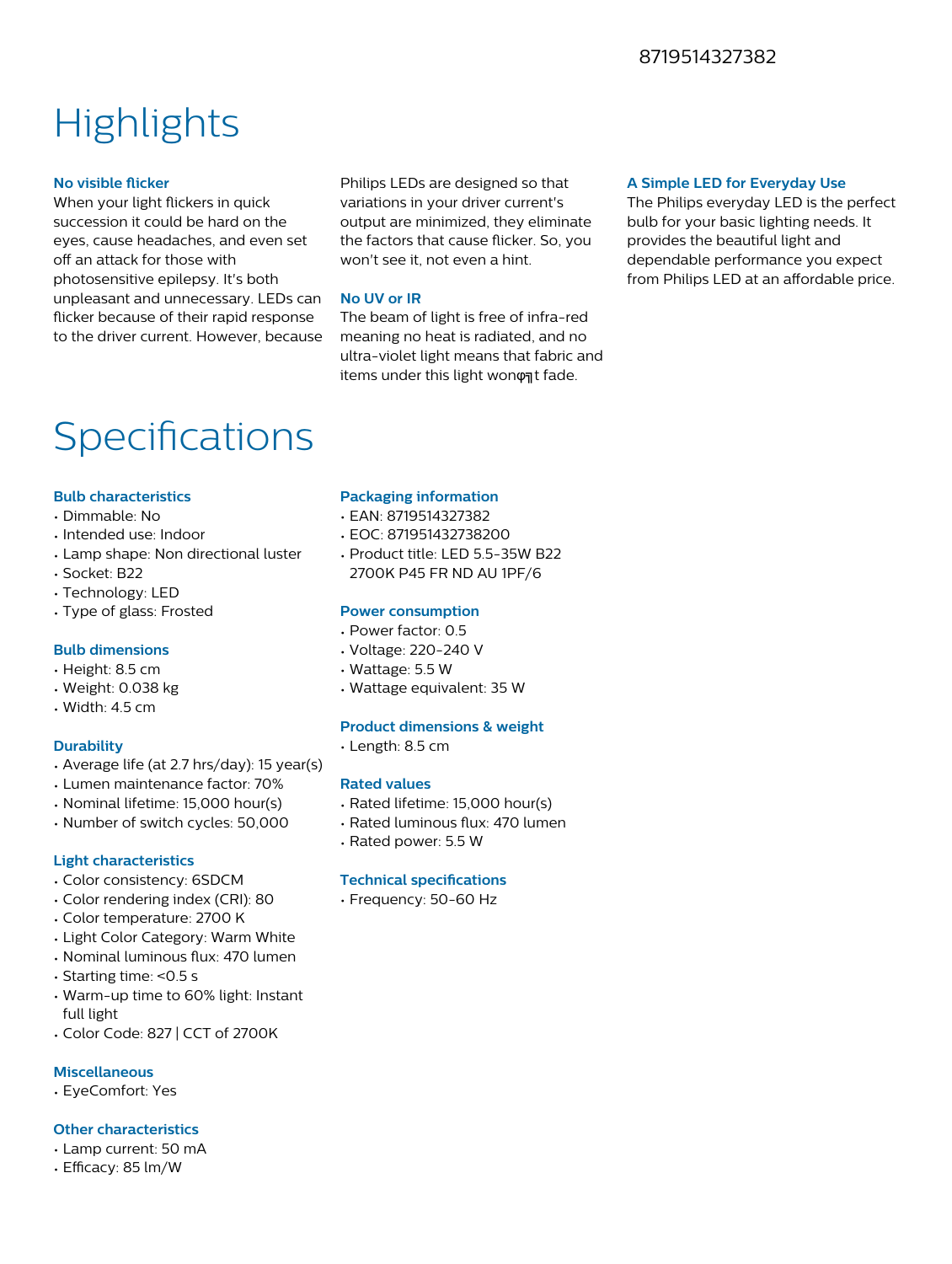#### 8719514327382

### **Highlights**

#### **No visible flicker**

When your light flickers in quick succession it could be hard on the eyes, cause headaches, and even set off an attack for those with photosensitive epilepsy. It's both unpleasant and unnecessary. LEDs can flicker because of their rapid response to the driver current. However, because

Philips LEDs are designed so that variations in your driver current's output are minimized, they eliminate the factors that cause flicker. So, you won't see it, not even a hint.

#### **No UV or IR**

The beam of light is free of infra-red meaning no heat is radiated, and no ultra-violet light means that fabric and items under this light wonφηt fade.

#### **A Simple LED for Everyday Use**

The Philips everyday LED is the perfect bulb for your basic lighting needs. It provides the beautiful light and dependable performance you expect from Philips LED at an affordable price.

### Specifications

#### **Bulb characteristics**

- Dimmable: No
- Intended use: Indoor
- Lamp shape: Non directional luster
- Socket: B22
- Technology: LED
- Type of glass: Frosted

#### **Bulb dimensions**

- Height: 8.5 cm
- Weight: 0.038 kg
- Width: 4.5 cm

#### **Durability**

- Average life (at 2.7 hrs/day): 15 year(s)
- Lumen maintenance factor: 70%
- Nominal lifetime: 15,000 hour(s)
- Number of switch cycles: 50,000

#### **Light characteristics**

- Color consistency: 6SDCM
- Color rendering index (CRI): 80
- Color temperature: 2700 K
- Light Color Category: Warm White
- Nominal luminous flux: 470 lumen
- Starting time: <0.5 s
- Warm-up time to 60% light: Instant full light
- Color Code: 827 | CCT of 2700K

#### **Miscellaneous**

• EyeComfort: Yes

#### **Other characteristics**

- Lamp current: 50 mA
- $\cdot$  Efficacy: 85 lm/W

#### **Packaging information**

- EAN: 8719514327382
- EOC: 871951432738200
- Product title: LED 5.5-35W B22 2700K P45 FR ND AU 1PF/6

#### **Power consumption**

- Power factor: 0.5
- Voltage: 220-240 V
- Wattage: 5.5 W
- Wattage equivalent: 35 W

#### **Product dimensions & weight**

• Length: 8.5 cm

#### **Rated values**

- Rated lifetime: 15,000 hour(s)
- Rated luminous flux: 470 lumen
- Rated power: 5.5 W

#### **Technical specifications**

• Frequency: 50-60 Hz